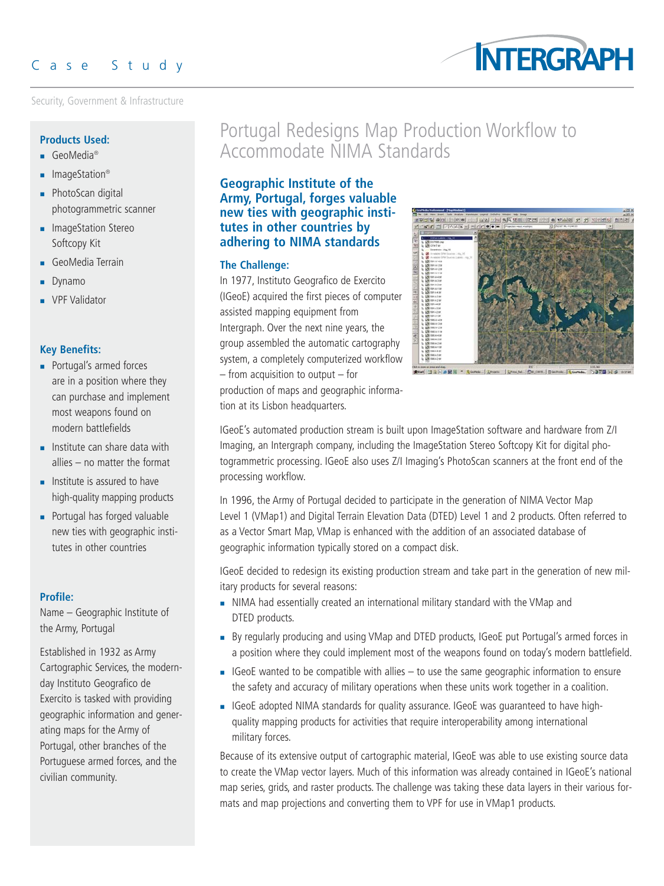Security, Government & Infrastructure



### **Products Used:**

- GeoMedia<sup>®</sup>
- ImageStation<sup>®</sup>
- **PhotoScan digital** photogrammetric scanner
- **ImageStation Stereo** Softcopy Kit
- GeoMedia Terrain
- **Dynamo**
- VPF Validator

# **Key Benefits:**

- **Portugal's armed forces** are in a position where they can purchase and implement most weapons found on modern battlefields
- $\blacksquare$  Institute can share data with allies – no matter the format
- $\blacksquare$  Institute is assured to have high-quality mapping products
- **Portugal has forged valuable** new ties with geographic institutes in other countries

# **Profile:**

Name – Geographic Institute of the Army, Portugal

Established in 1932 as Army Cartographic Services, the modernday Instituto Geografico de Exercito is tasked with providing geographic information and generating maps for the Army of Portugal, other branches of the Portuguese armed forces, and the civilian community.

# Portugal Redesigns Map Production Workflow to Accommodate NIMA Standards

# **Geographic Institute of the Army, Portugal, forges valuable new ties with geographic institutes in other countries by adhering to NIMA standards**

# **The Challenge:**

In 1977, Instituto Geografico de Exercito (IGeoE) acquired the first pieces of computer assisted mapping equipment from Intergraph. Over the next nine years, the group assembled the automatic cartography system, a completely computerized workflow – from acquisition to output – for production of maps and geographic information at its Lisbon headquarters.



IGeoE's automated production stream is built upon ImageStation software and hardware from Z/I Imaging, an Intergraph company, including the ImageStation Stereo Softcopy Kit for digital photogrammetric processing. IGeoE also uses Z/I Imaging's PhotoScan scanners at the front end of the processing workflow.

In 1996, the Army of Portugal decided to participate in the generation of NIMA Vector Map Level 1 (VMap1) and Digital Terrain Elevation Data (DTED) Level 1 and 2 products. Often referred to as a Vector Smart Map, VMap is enhanced with the addition of an associated database of geographic information typically stored on a compact disk.

IGeoE decided to redesign its existing production stream and take part in the generation of new military products for several reasons:

- NIMA had essentially created an international military standard with the VMap and DTED products.
- By regularly producing and using VMap and DTED products, IGeoE put Portugal's armed forces in a position where they could implement most of the weapons found on today's modern battlefield.
- $\blacksquare$  IGeoE wanted to be compatible with allies to use the same geographic information to ensure the safety and accuracy of military operations when these units work together in a coalition.
- IGeoE adopted NIMA standards for quality assurance. IGeoE was guaranteed to have highquality mapping products for activities that require interoperability among international military forces.

Because of its extensive output of cartographic material, IGeoE was able to use existing source data to create the VMap vector layers. Much of this information was already contained in IGeoE's national map series, grids, and raster products. The challenge was taking these data layers in their various formats and map projections and converting them to VPF for use in VMap1 products.